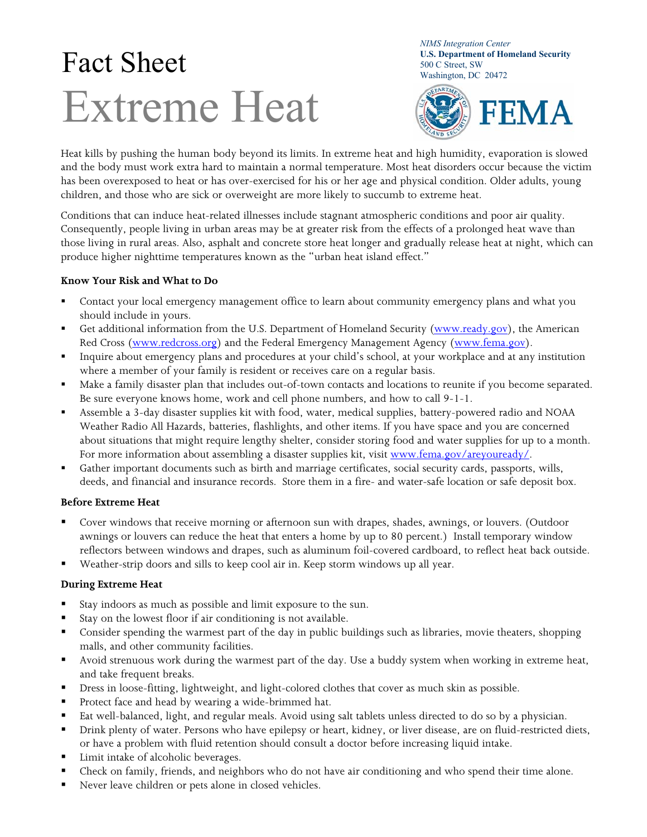# $\text{Fact} \ \text{Select} \ \text{Sheet} \ \text{SODE} \ \text{SODE} \ \text{SODE} \ \text{Street, SW} \ \text{Washington, DC 20472}$ Extreme Heat

*NIMS Integration Center*  **U.S. Department of Homeland Security** 



Heat kills by pushing the human body beyond its limits. In extreme heat and high humidity, evaporation is slowed and the body must work extra hard to maintain a normal temperature. Most heat disorders occur because the victim has been overexposed to heat or has over-exercised for his or her age and physical condition. Older adults, young children, and those who are sick or overweight are more likely to succumb to extreme heat.

Conditions that can induce heat-related illnesses include stagnant atmospheric conditions and poor air quality. Consequently, people living in urban areas may be at greater risk from the effects of a prolonged heat wave than those living in rural areas. Also, asphalt and concrete store heat longer and gradually release heat at night, which can produce higher nighttime temperatures known as the "urban heat island effect."

# **Know Your Risk and What to Do**

- Contact your local emergency management office to learn about community emergency plans and what you should include in yours.
- Get additional information from the U.S. Department of Homeland Security (www.ready.gov), the American Red Cross (www.redcross.org) and the Federal Emergency Management Agency (www.fema.gov).
- Inquire about emergency plans and procedures at your child's school, at your workplace and at any institution where a member of your family is resident or receives care on a regular basis.
- Make a family disaster plan that includes out-of-town contacts and locations to reunite if you become separated. Be sure everyone knows home, work and cell phone numbers, and how to call 9-1-1.
- Assemble a 3-day disaster supplies kit with food, water, medical supplies, battery-powered radio and NOAA Weather Radio All Hazards, batteries, flashlights, and other items. If you have space and you are concerned about situations that might require lengthy shelter, consider storing food and water supplies for up to a month. For more information about assembling a disaster supplies kit, visit www.fema.gov/areyouready/.
- Gather important documents such as birth and marriage certificates, social security cards, passports, wills, deeds, and financial and insurance records. Store them in a fire- and water-safe location or safe deposit box.

# **Before Extreme Heat**

- Cover windows that receive morning or afternoon sun with drapes, shades, awnings, or louvers. (Outdoor awnings or louvers can reduce the heat that enters a home by up to 80 percent.) Install temporary window reflectors between windows and drapes, such as aluminum foil-covered cardboard, to reflect heat back outside.
- Weather-strip doors and sills to keep cool air in. Keep storm windows up all year.

# **During Extreme Heat**

- Stay indoors as much as possible and limit exposure to the sun.
- Stay on the lowest floor if air conditioning is not available.
- Consider spending the warmest part of the day in public buildings such as libraries, movie theaters, shopping malls, and other community facilities.
- Avoid strenuous work during the warmest part of the day. Use a buddy system when working in extreme heat, and take frequent breaks.
- Dress in loose-fitting, lightweight, and light-colored clothes that cover as much skin as possible.
- **Protect face and head by wearing a wide-brimmed hat.**
- Eat well-balanced, light, and regular meals. Avoid using salt tablets unless directed to do so by a physician.
- **Phillary 12** Drink plenty of water. Persons who have epilepsy or heart, kidney, or liver disease, are on fluid-restricted diets, or have a problem with fluid retention should consult a doctor before increasing liquid intake.
- Limit intake of alcoholic beverages.
- Check on family, friends, and neighbors who do not have air conditioning and who spend their time alone.
- Never leave children or pets alone in closed vehicles.